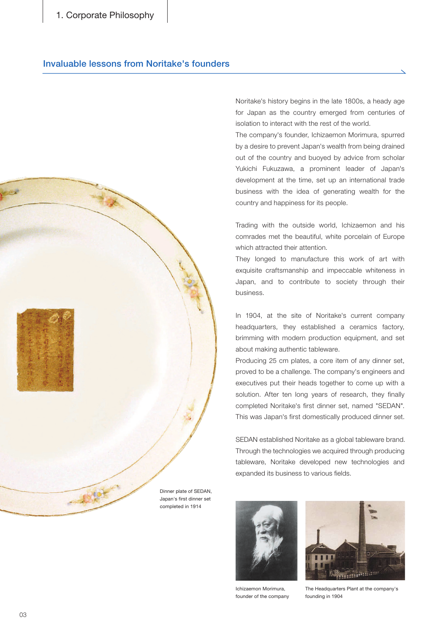1. Corporate Philosophy

### Invaluable lessons from Noritake's founders



Noritake's history begins in the late 1800s, a heady age for Japan as the country emerged from centuries of isolation to interact with the rest of the world.

The company's founder, Ichizaemon Morimura, spurred by a desire to prevent Japan's wealth from being drained out of the country and buoyed by advice from scholar Yukichi Fukuzawa, a prominent leader of Japan's development at the time, set up an international trade business with the idea of generating wealth for the country and happiness for its people.

Trading with the outside world, Ichizaemon and his comrades met the beautiful, white porcelain of Europe which attracted their attention.

They longed to manufacture this work of art with exquisite craftsmanship and impeccable whiteness in Japan, and to contribute to society through their .business

In 1904, at the site of Noritake's current company headquarters, they established a ceramics factory, brimming with modern production equipment, and set about making authentic tableware.

Producing 25 cm plates, a core item of any dinner set, proved to be a challenge. The company's engineers and executives put their heads together to come up with a solution. After ten long years of research, they finally completed Noritake's first dinner set, named "SEDAN". This was Japan's first domestically produced dinner set.

SEDAN established Noritake as a global tableware brand. Through the technologies we acquired through producing tableware, Noritake developed new technologies and expanded its business to various fields.





Ichizaemon Morimura, founder of the company

The Headquarters Plant at the company's founding in 1904